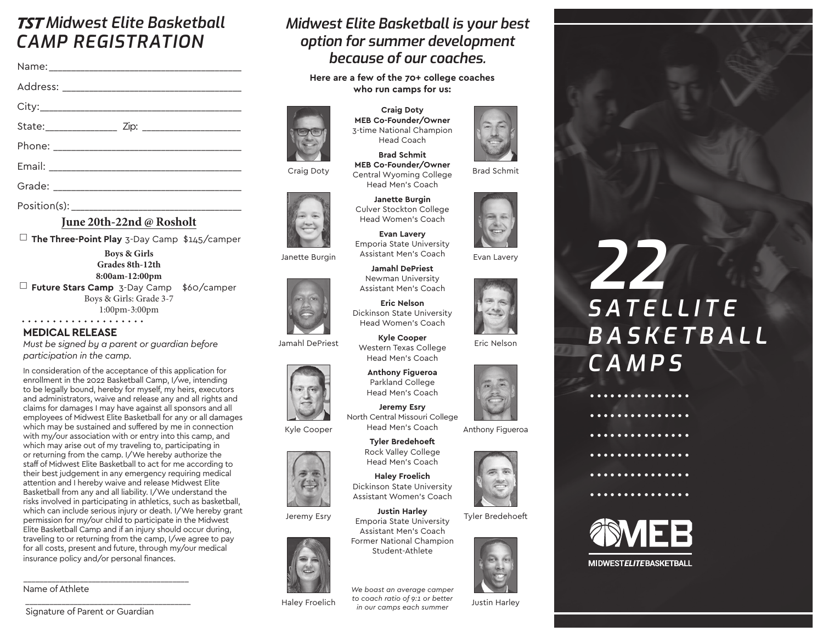## TST *Midwest Elite Basketball CAMP REGISTRATION*

Position(s):

#### **June 20th-22nd @ Rosholt**

◻ **The Three-Point Play** 3-Day Camp \$145/camper

**Boys & Girls Grades 8th-12th 8:00am-12:00pm** ◻ **Future Stars Camp** 3-Day Camp \$60/camper Boys & Girls: Grade 3-7

1:00pm-3:00pm

#### **MEDICAL RELEASE**

*Must be signed by a parent or guardian before participation in the camp.*

In consideration of the acceptance of this application for enrollment in the 2022 Basketball Camp, I/we, intending to be legally bound, hereby for myself, my heirs, executors and administrators, waive and release any and all rights and claims for damages I may have against all sponsors and all employees of Midwest Elite Basketball for any or all damages which may be sustained and suffered by me in connection with my/our association with or entry into this camp, and which may arise out of my traveling to, participating in or returning from the camp. I/We hereby authorize the staff of Midwest Elite Basketball to act for me according to their best judgement in any emergency requiring medical attention and I hereby waive and release Midwest Elite Basketball from any and all liability. I/We understand the risks involved in participating in athletics, such as basketball, which can include serious injury or death. I/We hereby grant permission for my/our child to participate in the Midwest Elite Basketball Camp and if an injury should occur during, traveling to or returning from the camp, I/we agree to pay for all costs, present and future, through my/our medical insurance policy and/or personal finances.

Name of Athlete

## *Midwest Elite Basketball is your best option for summer development because of our coaches.*

**Here are a few of the 70+ college coaches who run camps for us:**



Janette Burgin

Jamahl DePriest

#### **Craig Doty MEB Co-Founder/Owner**  3-time National Champion Head Coach

**Brad Schmit MEB Co-Founder/Owner** Central Wyoming College Head Men's Coach

**Janette Burgin** Culver Stockton College Head Women's Coach

**Evan Lavery** Emporia State University Assistant Men's Coach

**Jamahl DePriest** Newman University Assistant Men's Coach

**Eric Nelson** Dickinson State University Head Women's Coach

**Kyle Cooper** Western Texas College Head Men's Coach

**Anthony Figueroa**  Parkland College Head Men's Coach

**Jeremy Esry**  North Central Missouri College Head Men's Coach

> **Tyler Bredehoeft** Rock Valley College Head Men's Coach



Kyle Cooper

Jeremy Esry



Haley Froelich

**Haley Froelich** Dickinson State University Assistant Women's Coach **Justin Harley** Emporia State University

Assistant Men's Coach Former National Champion Student-Athlete

*We boast an average camper to coach ratio of 9:1 or better in our camps each summer* 



Brad Schmit



Evan Lavery





Anthony Figueroa







Justin Harley







**MIDWESTELITEBASKETBALL** 

 \_\_\_\_\_\_\_\_\_\_\_\_\_\_\_\_\_\_\_\_\_\_\_\_\_\_\_\_\_\_\_\_\_\_\_\_\_\_\_\_\_ Signature of Parent or Guardian

\_\_\_\_\_\_\_\_\_\_\_\_\_\_\_\_\_\_\_\_\_\_\_\_\_\_\_\_\_\_\_\_\_\_\_\_\_\_\_\_\_